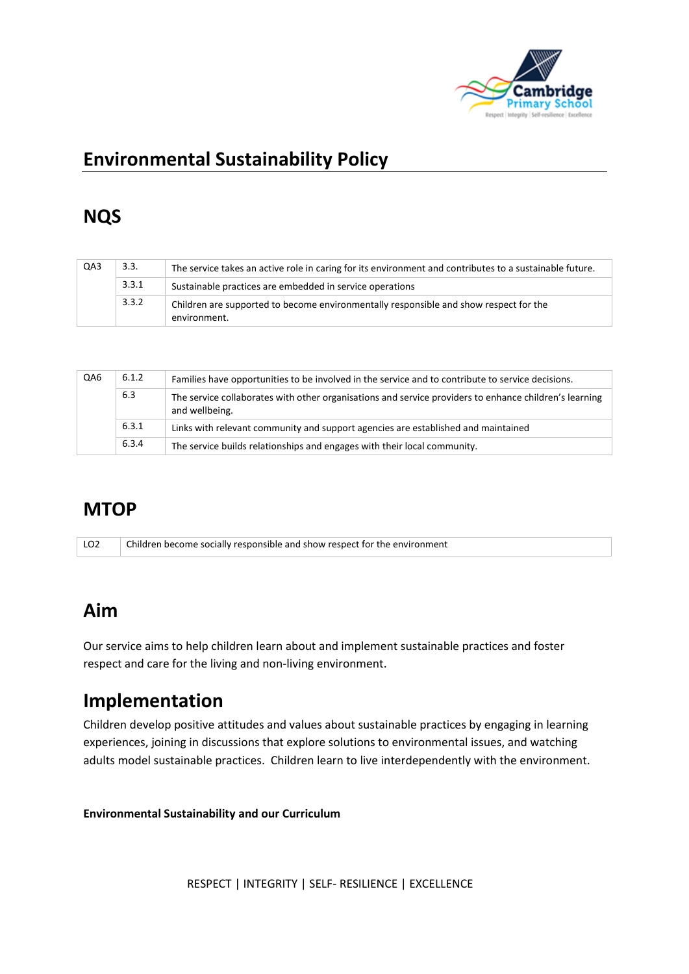

# **Environmental Sustainability Policy**

# **NQS**

| QA3 | 3.3.  | The service takes an active role in caring for its environment and contributes to a sustainable future. |  |  |
|-----|-------|---------------------------------------------------------------------------------------------------------|--|--|
|     | 3.3.1 | Sustainable practices are embedded in service operations                                                |  |  |
|     | 3.3.2 | Children are supported to become environmentally responsible and show respect for the<br>environment.   |  |  |

| QA6 | 6.1.2 | Families have opportunities to be involved in the service and to contribute to service decisions.                        |
|-----|-------|--------------------------------------------------------------------------------------------------------------------------|
|     | 6.3   | The service collaborates with other organisations and service providers to enhance children's learning<br>and wellbeing. |
|     | 6.3.1 | Links with relevant community and support agencies are established and maintained                                        |
|     | 6.3.4 | The service builds relationships and engages with their local community.                                                 |

### **MTOP**

LO2 Children become socially responsible and show respect for the environment

#### **Aim**

Our service aims to help children learn about and implement sustainable practices and foster respect and care for the living and non-living environment.

# **Implementation**

Children develop positive attitudes and values about sustainable practices by engaging in learning experiences, joining in discussions that explore solutions to environmental issues, and watching adults model sustainable practices. Children learn to live interdependently with the environment.

**Environmental Sustainability and our Curriculum** 

RESPECT | INTEGRITY | SELF- RESILIENCE | EXCELLENCE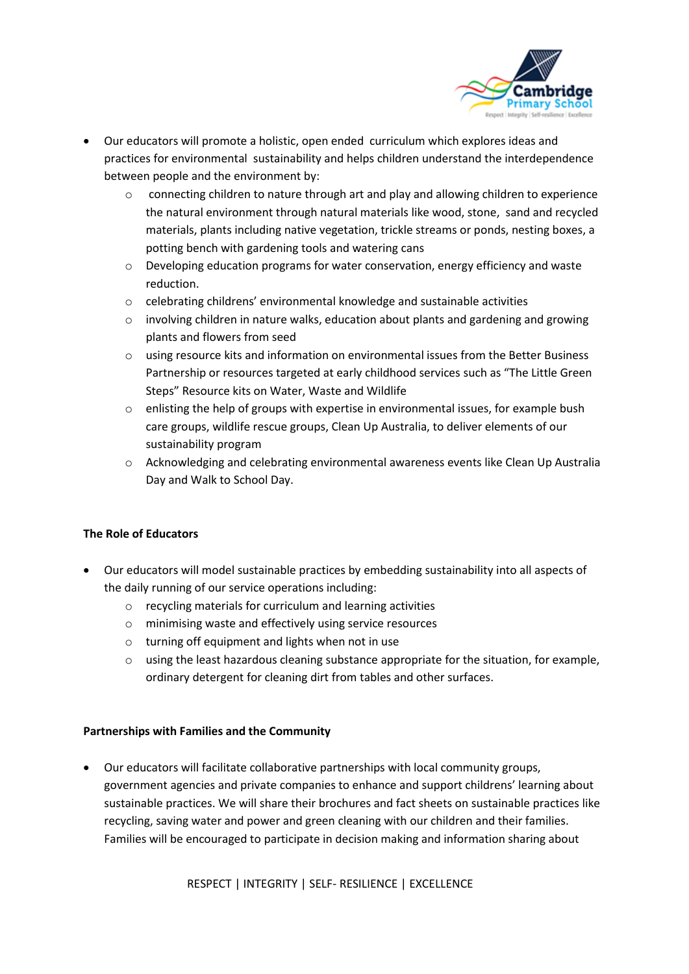

- Our educators will promote a holistic, open ended curriculum which explores ideas and practices for environmental sustainability and helps children understand the interdependence between people and the environment by:
	- o connecting children to nature through art and play and allowing children to experience the natural environment through natural materials like wood, stone, sand and recycled materials, plants including native vegetation, trickle streams or ponds, nesting boxes, a potting bench with gardening tools and watering cans
	- o Developing education programs for water conservation, energy efficiency and waste reduction.
	- o celebrating childrens' environmental knowledge and sustainable activities
	- $\circ$  involving children in nature walks, education about plants and gardening and growing plants and flowers from seed
	- o using resource kits and information on environmental issues from the Better Business Partnership or resources targeted at early childhood services such as "The Little Green Steps" Resource kits on Water, Waste and Wildlife
	- o enlisting the help of groups with expertise in environmental issues, for example bush care groups, wildlife rescue groups, Clean Up Australia, to deliver elements of our sustainability program
	- o Acknowledging and celebrating environmental awareness events like Clean Up Australia Day and Walk to School Day.

#### **The Role of Educators**

- Our educators will model sustainable practices by embedding sustainability into all aspects of the daily running of our service operations including:
	- o recycling materials for curriculum and learning activities
	- o minimising waste and effectively using service resources
	- o turning off equipment and lights when not in use
	- o using the least hazardous cleaning substance appropriate for the situation, for example, ordinary detergent for cleaning dirt from tables and other surfaces.

#### **Partnerships with Families and the Community**

• Our educators will facilitate collaborative partnerships with local community groups, government agencies and private companies to enhance and support childrens' learning about sustainable practices. We will share their brochures and fact sheets on sustainable practices like recycling, saving water and power and green cleaning with our children and their families. Families will be encouraged to participate in decision making and information sharing about